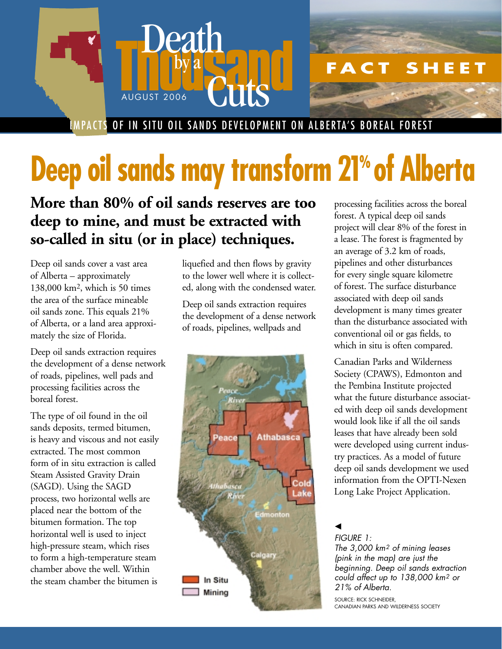

IMPACTS OF IN SITU OIL SANDS DEVELOPMENT ON ALBERTA'S BOREAL FOREST

## **Deep oil sands may transform 21% of Alberta**

**More than 80% of oil sands reserves are too deep to mine, and must be extracted with so-called in situ (or in place) techniques.**

Deep oil sands cover a vast area of Alberta – approximately 138,000 km2, which is 50 times the area of the surface mineable oil sands zone. This equals 21% of Alberta, or a land area approximately the size of Florida.

Deep oil sands extraction requires the development of a dense network of roads, pipelines, well pads and processing facilities across the boreal forest.

The type of oil found in the oil sands deposits, termed bitumen, is heavy and viscous and not easily extracted. The most common form of in situ extraction is called Steam Assisted Gravity Drain (SAGD). Using the SAGD process, two horizontal wells are placed near the bottom of the bitumen formation. The top horizontal well is used to inject high-pressure steam, which rises to form a high-temperature steam chamber above the well. Within the steam chamber the bitumen is

liquefied and then flows by gravity to the lower well where it is collected, along with the condensed water.

Deep oil sands extraction requires the development of a dense network of roads, pipelines, wellpads and



processing facilities across the boreal forest. A typical deep oil sands project will clear 8% of the forest in a lease. The forest is fragmented by an average of 3.2 km of roads, pipelines and other disturbances for every single square kilometre of forest. The surface disturbance associated with deep oil sands development is many times greater than the disturbance associated with conventional oil or gas fields, to which in situ is often compared.

Canadian Parks and Wilderness Society (CPAWS), Edmonton and the Pembina Institute projected what the future disturbance associated with deep oil sands development would look like if all the oil sands leases that have already been sold were developed using current industry practices. As a model of future deep oil sands development we used information from the OPTI-Nexen Long Lake Project Application.

▲

*FIGURE 1: The 3,000 km2 of mining leases (pink in the map) are just the beginning. Deep oil sands extraction could affect up to 138,000 km2 or 21% of Alberta.*

SOURCE: RICK SCHNEIDER, CANADIAN PARKS AND WILDERNESS SOCIETY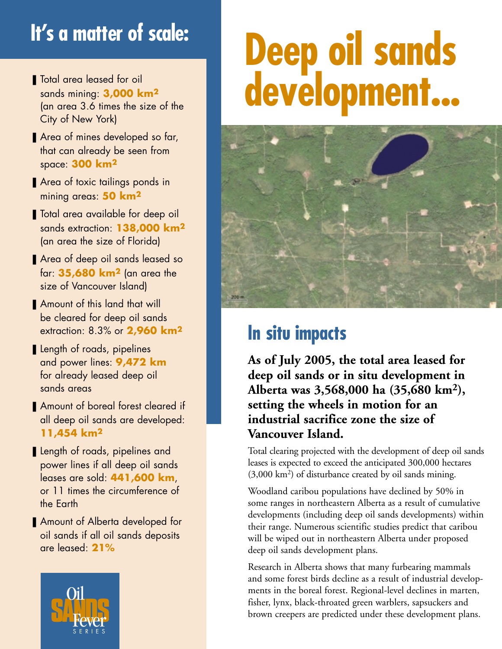## **It's a matter of scale:**

- Total area leased for oil sands mining: **3,000 km2** (an area 3.6 times the size of the City of New York)
- Area of mines developed so far, that can already be seen from space: **300 km2**
- Area of toxic tailings ponds in mining areas: **50 km2**
- Total area available for deep oil sands extraction: **138,000 km2** (an area the size of Florida)
- Area of deep oil sands leased so far: **35,680 km2** (an area the size of Vancouver Island)
- Amount of this land that will be cleared for deep oil sands extraction: 8.3% or **2,960 km2**
- Length of roads, pipelines and power lines: **9,472 km** for already leased deep oil sands areas
- Amount of boreal forest cleared if all deep oil sands are developed: **11,454 km2**
- Length of roads, pipelines and power lines if all deep oil sands leases are sold: **441,600 km**, or 11 times the circumference of the Earth
- Amount of Alberta developed for oil sands if all oil sands deposits are leased: **21%**



## **Deep oil sands development...**



## **In situ impacts**

**As of July 2005, the total area leased for deep oil sands or in situ development in Alberta was 3,568,000 ha (35,680 km2), setting the wheels in motion for an industrial sacrifice zone the size of Vancouver Island.** 

Total clearing projected with the development of deep oil sands leases is expected to exceed the anticipated 300,000 hectares (3,000 km2) of disturbance created by oil sands mining.

Woodland caribou populations have declined by 50% in some ranges in northeastern Alberta as a result of cumulative developments (including deep oil sands developments) within their range. Numerous scientific studies predict that caribou will be wiped out in northeastern Alberta under proposed deep oil sands development plans.

Research in Alberta shows that many furbearing mammals and some forest birds decline as a result of industrial developments in the boreal forest. Regional-level declines in marten, fisher, lynx, black-throated green warblers, sapsuckers and brown creepers are predicted under these development plans.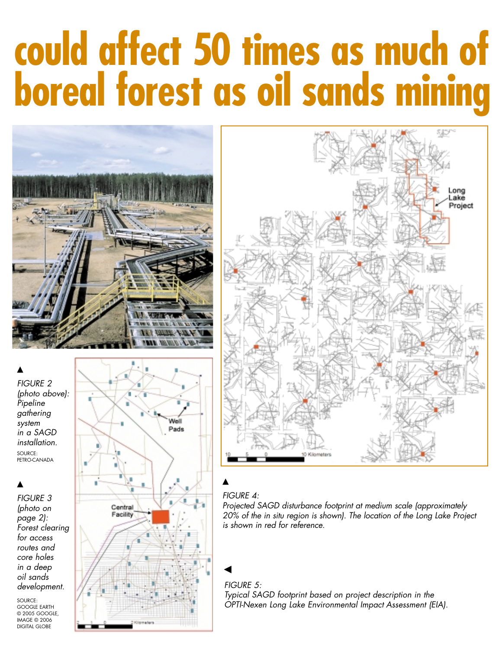# **could affect 50 times as much of boreal forest as oil sands mining**





#### ▲

*FIGURE 3 (photo on page 2): Forest clearing for access routes and core holes in a deep oil sands development.*

SOURCE: GOOGLE EARTH © 2005 GOOGLE, IMAGE © 2006 DIGITAL GLOBE





#### ▲

#### *FIGURE 4:*

*Projected SAGD disturbance footprint at medium scale (approximately 20% of the in situ region is shown). The location of the Long Lake Project is shown in red for reference.*

#### ▲

*FIGURE 5: Typical SAGD footprint based on project description in the OPTI-Nexen Long Lake Environmental Impact Assessment (EIA).*